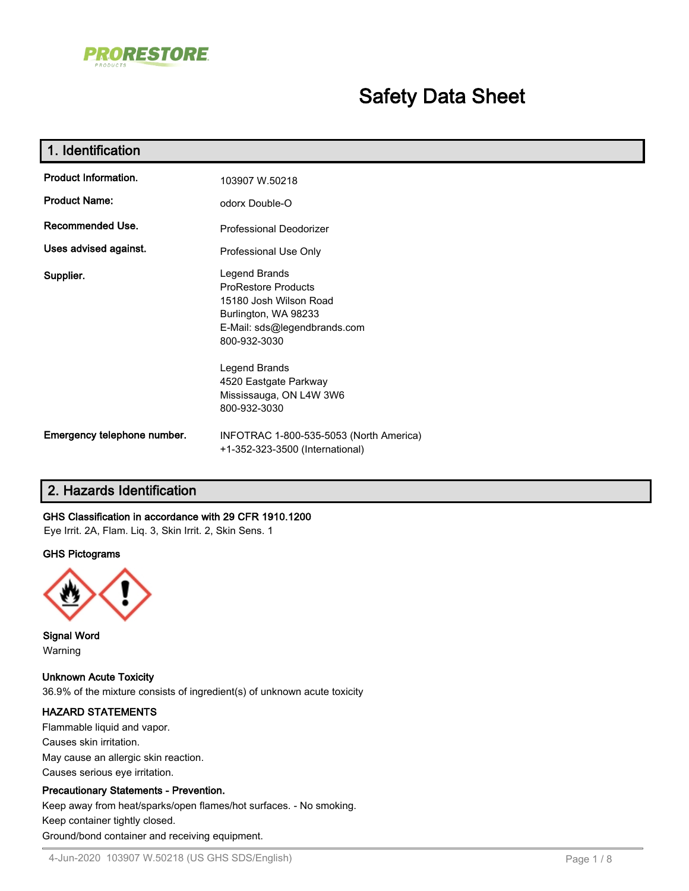

# **Safety Data Sheet**

| 1. Identification                                  |                                                                                                                                               |  |  |  |  |
|----------------------------------------------------|-----------------------------------------------------------------------------------------------------------------------------------------------|--|--|--|--|
| Product Information.                               | 103907 W.50218                                                                                                                                |  |  |  |  |
| <b>Product Name:</b>                               | odorx Double-O                                                                                                                                |  |  |  |  |
| Recommended Use.<br><b>Professional Deodorizer</b> |                                                                                                                                               |  |  |  |  |
| Uses advised against.                              | Professional Use Only                                                                                                                         |  |  |  |  |
| Supplier.                                          | Legend Brands<br><b>ProRestore Products</b><br>15180 Josh Wilson Road<br>Burlington, WA 98233<br>E-Mail: sds@legendbrands.com<br>800-932-3030 |  |  |  |  |
|                                                    | Legend Brands<br>4520 Eastgate Parkway<br>Mississauga, ON L4W 3W6<br>800-932-3030                                                             |  |  |  |  |
| Emergency telephone number.                        | INFOTRAC 1-800-535-5053 (North America)<br>+1-352-323-3500 (International)                                                                    |  |  |  |  |

## **2. Hazards Identification**

### **GHS Classification in accordance with 29 CFR 1910.1200**

Eye Irrit. 2A, Flam. Liq. 3, Skin Irrit. 2, Skin Sens. 1

#### **GHS Pictograms**



**Signal Word** Warning

**Unknown Acute Toxicity** 36.9% of the mixture consists of ingredient(s) of unknown acute toxicity

### **HAZARD STATEMENTS**

Flammable liquid and vapor. Causes skin irritation. May cause an allergic skin reaction. Causes serious eye irritation.

### **Precautionary Statements - Prevention.**

Keep away from heat/sparks/open flames/hot surfaces. - No smoking. Keep container tightly closed. Ground/bond container and receiving equipment.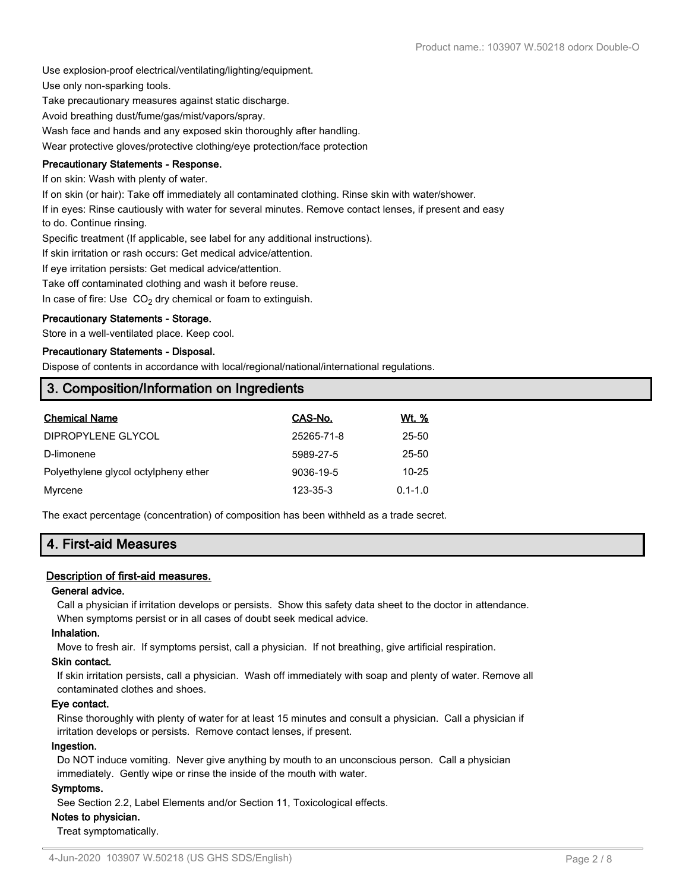Use explosion-proof electrical/ventilating/lighting/equipment.

Use only non-sparking tools.

Take precautionary measures against static discharge.

Avoid breathing dust/fume/gas/mist/vapors/spray.

Wash face and hands and any exposed skin thoroughly after handling.

Wear protective gloves/protective clothing/eye protection/face protection

### **Precautionary Statements - Response.**

If on skin: Wash with plenty of water.

If on skin (or hair): Take off immediately all contaminated clothing. Rinse skin with water/shower.

If in eyes: Rinse cautiously with water for several minutes. Remove contact lenses, if present and easy to do. Continue rinsing.

Specific treatment (If applicable, see label for any additional instructions).

If skin irritation or rash occurs: Get medical advice/attention.

If eye irritation persists: Get medical advice/attention.

Take off contaminated clothing and wash it before reuse.

In case of fire: Use  $CO<sub>2</sub>$  dry chemical or foam to extinguish.

### **Precautionary Statements - Storage.**

Store in a well-ventilated place. Keep cool.

### **Precautionary Statements - Disposal.**

Dispose of contents in accordance with local/regional/national/international regulations.

# **3. Composition/Information on Ingredients**

| <b>Chemical Name</b>                 | CAS-No.    | Wt. %       |
|--------------------------------------|------------|-------------|
| DIPROPYLENE GLYCOL                   | 25265-71-8 | 25-50       |
| D-limonene                           | 5989-27-5  | 25-50       |
| Polyethylene glycol octylpheny ether | 9036-19-5  | $10 - 25$   |
| Myrcene                              | 123-35-3   | $0.1 - 1.0$ |

The exact percentage (concentration) of composition has been withheld as a trade secret.

# **4. First-aid Measures**

### **Description of first-aid measures.**

### **General advice.**

Call a physician if irritation develops or persists. Show this safety data sheet to the doctor in attendance. When symptoms persist or in all cases of doubt seek medical advice.

### **Inhalation.**

Move to fresh air. If symptoms persist, call a physician. If not breathing, give artificial respiration.

### **Skin contact.**

If skin irritation persists, call a physician. Wash off immediately with soap and plenty of water. Remove all contaminated clothes and shoes.

### **Eye contact.**

Rinse thoroughly with plenty of water for at least 15 minutes and consult a physician. Call a physician if irritation develops or persists. Remove contact lenses, if present.

### **Ingestion.**

Do NOT induce vomiting. Never give anything by mouth to an unconscious person. Call a physician immediately. Gently wipe or rinse the inside of the mouth with water.

### **Symptoms.**

See Section 2.2, Label Elements and/or Section 11, Toxicological effects.

### **Notes to physician.**

Treat symptomatically.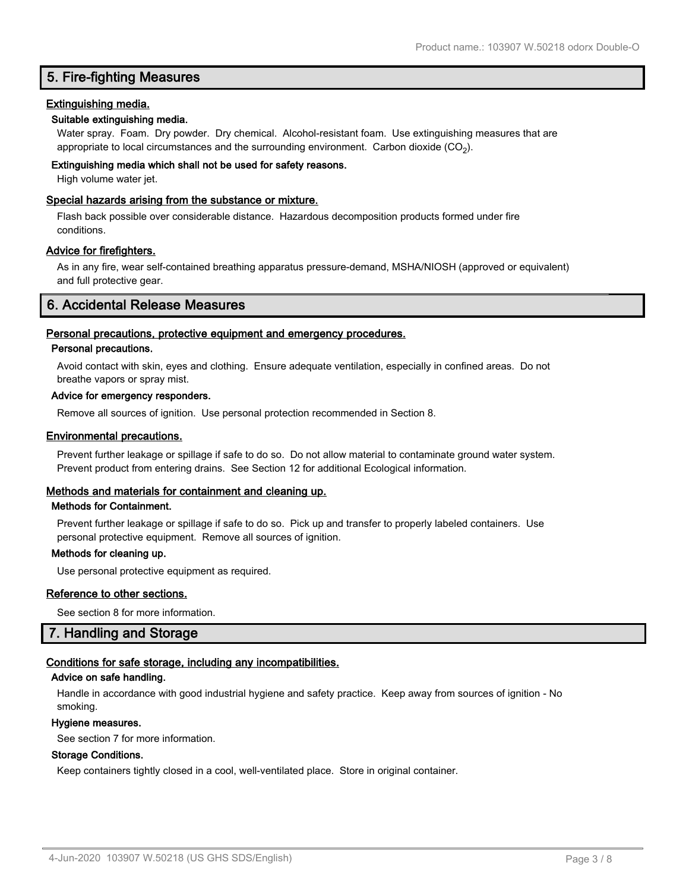### **5. Fire-fighting Measures**

### **Extinguishing media.**

### **Suitable extinguishing media.**

Water spray. Foam. Dry powder. Dry chemical. Alcohol-resistant foam. Use extinguishing measures that are appropriate to local circumstances and the surrounding environment.  $\rm \, Carbon$  dioxide  $\rm (CO_2).$ 

### **Extinguishing media which shall not be used for safety reasons.**

High volume water jet.

### **Special hazards arising from the substance or mixture.**

Flash back possible over considerable distance. Hazardous decomposition products formed under fire conditions.

### **Advice for firefighters.**

As in any fire, wear self-contained breathing apparatus pressure-demand, MSHA/NIOSH (approved or equivalent) and full protective gear.

### **6. Accidental Release Measures**

### **Personal precautions, protective equipment and emergency procedures.**

### **Personal precautions.**

Avoid contact with skin, eyes and clothing. Ensure adequate ventilation, especially in confined areas. Do not breathe vapors or spray mist.

#### **Advice for emergency responders.**

Remove all sources of ignition. Use personal protection recommended in Section 8.

### **Environmental precautions.**

Prevent further leakage or spillage if safe to do so. Do not allow material to contaminate ground water system. Prevent product from entering drains. See Section 12 for additional Ecological information.

### **Methods and materials for containment and cleaning up.**

#### **Methods for Containment.**

Prevent further leakage or spillage if safe to do so. Pick up and transfer to properly labeled containers. Use personal protective equipment. Remove all sources of ignition.

#### **Methods for cleaning up.**

Use personal protective equipment as required.

### **Reference to other sections.**

See section 8 for more information.

### **7. Handling and Storage**

### **Conditions for safe storage, including any incompatibilities.**

### **Advice on safe handling.**

Handle in accordance with good industrial hygiene and safety practice. Keep away from sources of ignition - No smoking.

#### **Hygiene measures.**

See section 7 for more information.

### **Storage Conditions.**

Keep containers tightly closed in a cool, well-ventilated place. Store in original container.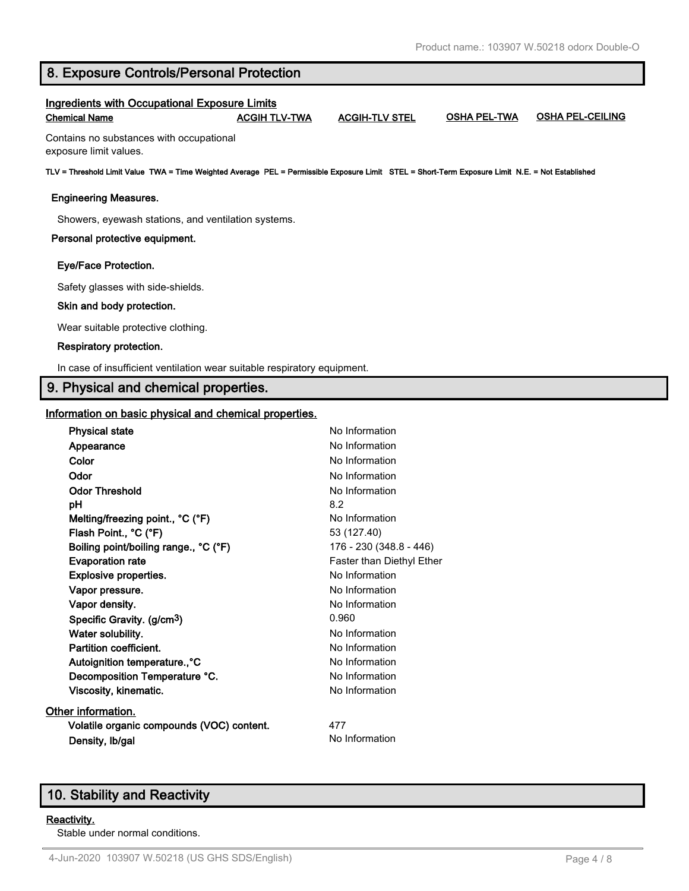### **8. Exposure Controls/Personal Protection**

# **Ingredients with Occupational Exposure Limits Chemical Name ACGIH TLV-TWA ACGIH-TLV STEL OSHA PEL-TWA OSHA PEL-CEILING** Contains no substances with occupational exposure limit values. **TLV = Threshold Limit Value TWA = Time Weighted Average PEL = Permissible Exposure Limit STEL = Short-Term Exposure Limit N.E. = Not Established Engineering Measures.** Showers, eyewash stations, and ventilation systems. **Personal protective equipment. Eye/Face Protection.** Safety glasses with side-shields.  **Skin and body protection.** Wear suitable protective clothing.  **Respiratory protection.** In case of insufficient ventilation wear suitable respiratory equipment. **9. Physical and chemical properties.**

### **Information on basic physical and chemical properties.**

| <b>Physical state</b>                     | No Information            |
|-------------------------------------------|---------------------------|
| Appearance                                | No Information            |
| Color                                     | No Information            |
| Odor                                      | No Information            |
| <b>Odor Threshold</b>                     | No Information            |
| pН                                        | 8.2                       |
| Melting/freezing point., °C (°F)          | No Information            |
| Flash Point., °C (°F)                     | 53 (127.40)               |
| Boiling point/boiling range., °C (°F)     | 176 - 230 (348.8 - 446)   |
| <b>Evaporation rate</b>                   | Faster than Diethyl Ether |
| <b>Explosive properties.</b>              | No Information            |
| Vapor pressure.                           | No Information            |
| Vapor density.                            | No Information            |
| Specific Gravity. (g/cm <sup>3</sup> )    | 0.960                     |
| Water solubility.                         | No Information            |
| Partition coefficient.                    | No Information            |
| Autoignition temperature., °C             | No Information            |
| Decomposition Temperature °C.             | No Information            |
| Viscosity, kinematic.                     | No Information            |
| Other information.                        |                           |
| Volatile organic compounds (VOC) content. | 477                       |
| Density, Ib/gal                           | No Information            |
|                                           |                           |

# **10. Stability and Reactivity**

### **Reactivity.**

Stable under normal conditions.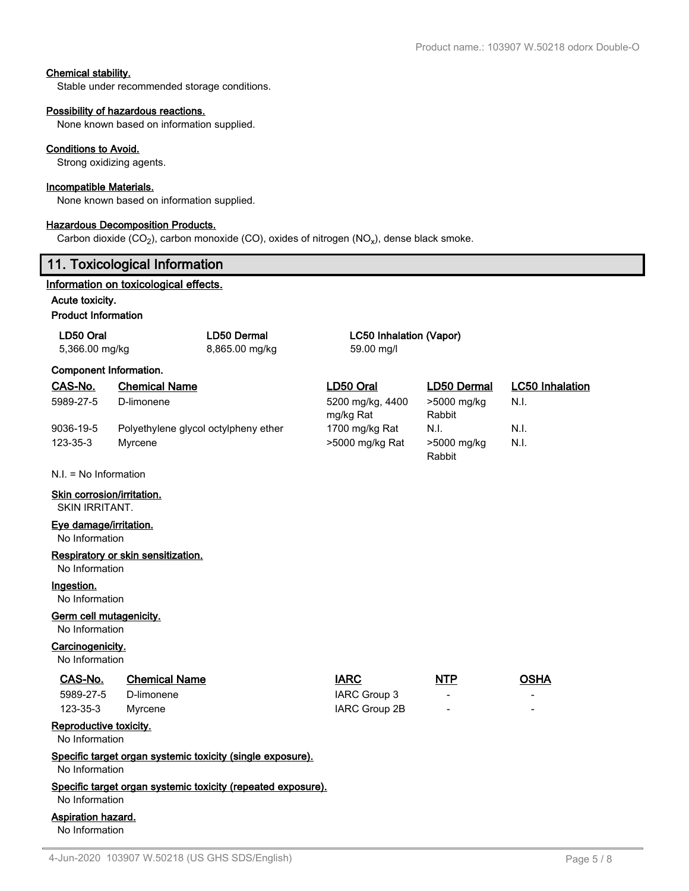### **Chemical stability.**

Stable under recommended storage conditions.

### **Possibility of hazardous reactions.**

None known based on information supplied.

#### **Conditions to Avoid.**

Strong oxidizing agents.

#### **Incompatible Materials.**

None known based on information supplied.

### **Hazardous Decomposition Products.**

Carbon dioxide (CO<sub>2</sub>), carbon monoxide (CO), oxides of nitrogen (NO<sub>x</sub>), dense black smoke.

## **11. Toxicological Information**

### **Information on toxicological effects.**

**Acute toxicity.**

#### **Product Information**

| LD50 Oral<br>5,366.00 mg/kg                  |                                      | <b>LD50 Dermal</b><br>8,865.00 mg/kg                         | <b>LC50 Inhalation (Vapor)</b><br>59.00 mg/l |                       |                        |  |
|----------------------------------------------|--------------------------------------|--------------------------------------------------------------|----------------------------------------------|-----------------------|------------------------|--|
| <b>Component Information.</b>                |                                      |                                                              |                                              |                       |                        |  |
| CAS-No.                                      | <b>Chemical Name</b>                 |                                                              | LD50 Oral                                    | LD50 Dermal           | <b>LC50 Inhalation</b> |  |
| 5989-27-5                                    | D-limonene                           |                                                              | 5200 mg/kg, 4400<br>mg/kg Rat                | >5000 mg/kg<br>Rabbit | N.I.                   |  |
| 9036-19-5                                    | Polyethylene glycol octylpheny ether |                                                              | 1700 mg/kg Rat                               | N.I.                  | N.I.                   |  |
| 123-35-3                                     | Myrcene                              |                                                              | >5000 mg/kg Rat                              | >5000 mg/kg<br>Rabbit | N.I.                   |  |
| $N.I. = No$ Information                      |                                      |                                                              |                                              |                       |                        |  |
| Skin corrosion/irritation.<br>SKIN IRRITANT. |                                      |                                                              |                                              |                       |                        |  |
| Eye damage/irritation.<br>No Information     |                                      |                                                              |                                              |                       |                        |  |
| No Information                               | Respiratory or skin sensitization.   |                                                              |                                              |                       |                        |  |
| Ingestion.<br>No Information                 |                                      |                                                              |                                              |                       |                        |  |
| Germ cell mutagenicity.<br>No Information    |                                      |                                                              |                                              |                       |                        |  |
| Carcinogenicity.<br>No Information           |                                      |                                                              |                                              |                       |                        |  |
| CAS-No.                                      | <b>Chemical Name</b>                 |                                                              | <b>IARC</b>                                  | <b>NTP</b>            | <b>OSHA</b>            |  |
| 5989-27-5                                    | D-limonene                           |                                                              | IARC Group 3                                 |                       |                        |  |
| 123-35-3                                     | Myrcene                              |                                                              | IARC Group 2B                                |                       |                        |  |
| Reproductive toxicity.<br>No Information     |                                      |                                                              |                                              |                       |                        |  |
| No Information                               |                                      | Specific target organ systemic toxicity (single exposure).   |                                              |                       |                        |  |
| No Information                               |                                      | Specific target organ systemic toxicity (repeated exposure). |                                              |                       |                        |  |
| <b>Aspiration hazard.</b><br>No Information  |                                      |                                                              |                                              |                       |                        |  |
|                                              |                                      |                                                              |                                              |                       |                        |  |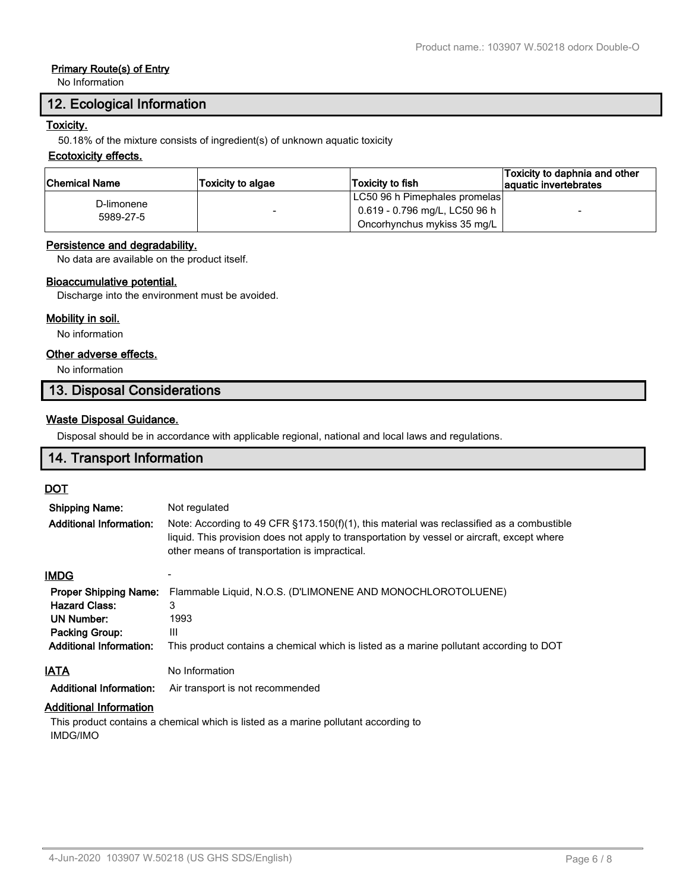### **Primary Route(s) of Entry**

No Information

### **12. Ecological Information**

### **Toxicity.**

50.18% of the mixture consists of ingredient(s) of unknown aquatic toxicity

### **Ecotoxicity effects.**

| ∣Chemical Name          | <b>Toxicity to algae</b> | Toxicity to fish              | Toxicity to daphnia and other<br>aquatic invertebrates |
|-------------------------|--------------------------|-------------------------------|--------------------------------------------------------|
| D-limonene<br>5989-27-5 |                          | LC50 96 h Pimephales promelas |                                                        |
|                         |                          | 0.619 - 0.796 mg/L, LC50 96 h | $\overline{\phantom{0}}$                               |
|                         |                          | Oncorhynchus mykiss 35 mg/L   |                                                        |

### **Persistence and degradability.**

No data are available on the product itself.

#### **Bioaccumulative potential.**

Discharge into the environment must be avoided.

### **Mobility in soil.**

No information

### **Other adverse effects.**

No information

### **13. Disposal Considerations**

#### **Waste Disposal Guidance.**

Disposal should be in accordance with applicable regional, national and local laws and regulations.

### **14. Transport Information**

### **DOT**

| <b>Shipping Name:</b>          | Not regulated                                                                                                                                                                                                                                 |
|--------------------------------|-----------------------------------------------------------------------------------------------------------------------------------------------------------------------------------------------------------------------------------------------|
| <b>Additional Information:</b> | Note: According to 49 CFR $\S173.150(f)(1)$ , this material was reclassified as a combustible<br>liquid. This provision does not apply to transportation by vessel or aircraft, except where<br>other means of transportation is impractical. |
| <b>IMDG</b>                    |                                                                                                                                                                                                                                               |
| <b>Proper Shipping Name:</b>   | Flammable Liquid, N.O.S. (D'LIMONENE AND MONOCHLOROTOLUENE)                                                                                                                                                                                   |
| <b>Hazard Class:</b>           | 3                                                                                                                                                                                                                                             |
| <b>UN Number:</b>              | 1993                                                                                                                                                                                                                                          |
| <b>Packing Group:</b>          | Ш                                                                                                                                                                                                                                             |
| <b>Additional Information:</b> | This product contains a chemical which is listed as a marine pollutant according to DOT                                                                                                                                                       |
| <u>IATA</u>                    | No Information                                                                                                                                                                                                                                |
| <b>Additional Information:</b> | Air transport is not recommended                                                                                                                                                                                                              |
| Additional Information         |                                                                                                                                                                                                                                               |

#### **Additional Information**

This product contains a chemical which is listed as a marine pollutant according to IMDG/IMO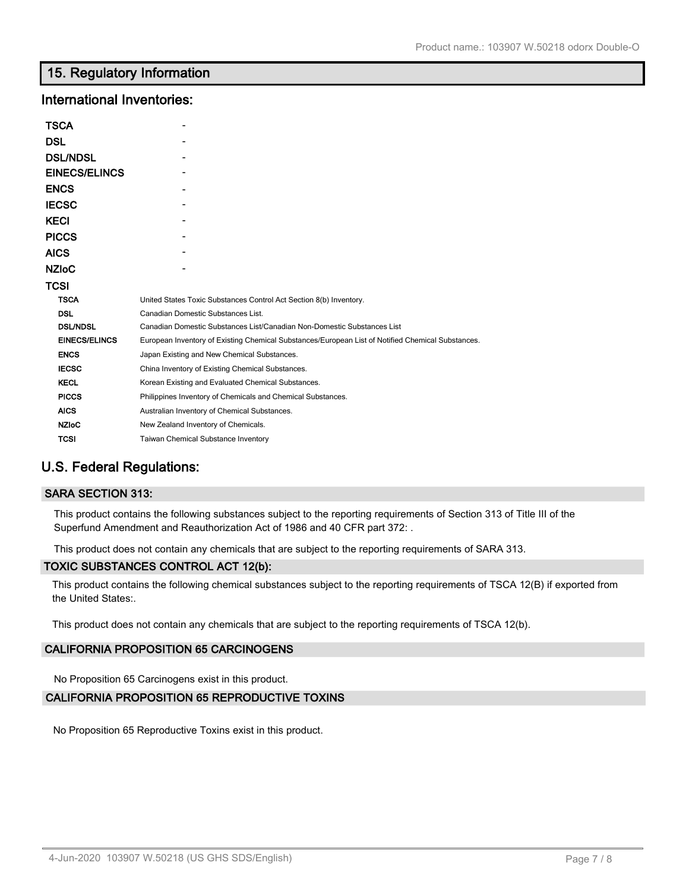### **15. Regulatory Information**

### **International Inventories:**

| TSCA                 |                                                                                                   |  |
|----------------------|---------------------------------------------------------------------------------------------------|--|
| DSL                  |                                                                                                   |  |
| <b>DSL/NDSL</b>      |                                                                                                   |  |
| <b>EINECS/ELINCS</b> |                                                                                                   |  |
| ENCS                 |                                                                                                   |  |
| <b>IECSC</b>         |                                                                                                   |  |
| KECI                 |                                                                                                   |  |
| <b>PICCS</b>         |                                                                                                   |  |
| AICS                 |                                                                                                   |  |
| NZIoC                |                                                                                                   |  |
| TCSI                 |                                                                                                   |  |
| <b>TSCA</b>          | United States Toxic Substances Control Act Section 8(b) Inventory.                                |  |
| <b>DSL</b>           | Canadian Domestic Substances List.                                                                |  |
| <b>DSL/NDSL</b>      | Canadian Domestic Substances List/Canadian Non-Domestic Substances List                           |  |
| <b>EINECS/ELINCS</b> | European Inventory of Existing Chemical Substances/European List of Notified Chemical Substances. |  |
| <b>ENCS</b>          | Japan Existing and New Chemical Substances.                                                       |  |
| <b>IECSC</b>         | China Inventory of Existing Chemical Substances.                                                  |  |
| <b>KECL</b>          | Korean Existing and Evaluated Chemical Substances.                                                |  |
| <b>PICCS</b>         | Philippines Inventory of Chemicals and Chemical Substances.                                       |  |
| <b>AICS</b>          | Australian Inventory of Chemical Substances.                                                      |  |
| <b>NZIoC</b>         | New Zealand Inventory of Chemicals.                                                               |  |
| <b>TCSI</b>          | <b>Taiwan Chemical Substance Inventory</b>                                                        |  |

# **U.S. Federal Regulations:**

### **SARA SECTION 313:**

This product contains the following substances subject to the reporting requirements of Section 313 of Title III of the Superfund Amendment and Reauthorization Act of 1986 and 40 CFR part 372: .

This product does not contain any chemicals that are subject to the reporting requirements of SARA 313.

### **TOXIC SUBSTANCES CONTROL ACT 12(b):**

This product contains the following chemical substances subject to the reporting requirements of TSCA 12(B) if exported from the United States:.

This product does not contain any chemicals that are subject to the reporting requirements of TSCA 12(b).

### **CALIFORNIA PROPOSITION 65 CARCINOGENS**

No Proposition 65 Carcinogens exist in this product.

### **CALIFORNIA PROPOSITION 65 REPRODUCTIVE TOXINS**

No Proposition 65 Reproductive Toxins exist in this product.